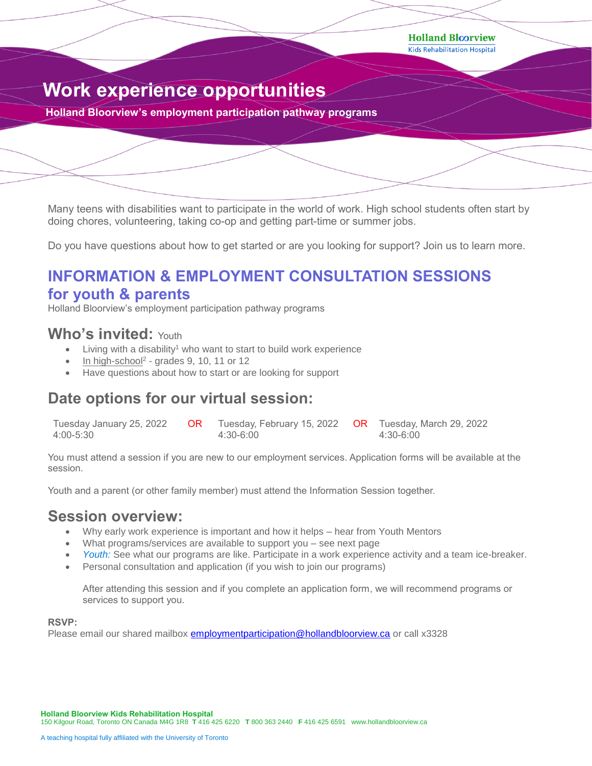**Holland Bloorview** 

**Kids Rehabilitation Hospital** 

# **Work experience opportunities**

**Holland Bloorview's employment participation pathway programs**

Many teens with disabilities want to participate in the world of work. High school students often start by doing chores, volunteering, taking co-op and getting part-time or summer jobs.

Do you have questions about how to get started or are you looking for support? Join us to learn more.

# **INFORMATION & EMPLOYMENT CONSULTATION SESSIONS for youth & parents**

Holland Bloorview's employment participation pathway programs

### **Who's invited:** Youth

- Living with a disability<sup>1</sup> who want to start to build work experience
- $\bullet$  In high-school<sup>2</sup> grades 9, 10, 11 or 12
- Have questions about how to start or are looking for support

## **Date options for our virtual session:**

| Tuesday January 25, 2022 | <b>OR</b> Tuesday, February 15, 2022 <b>OR</b> Tuesday, March 29, 2022 |           |
|--------------------------|------------------------------------------------------------------------|-----------|
| 4:00-5:30                | 4:30-6:00                                                              | 4:30-6:00 |

You must attend a session if you are new to our employment services. Application forms will be available at the session.

Youth and a parent (or other family member) must attend the Information Session together.

### **Session overview:**

- Why early work experience is important and how it helps hear from Youth Mentors
- What programs/services are available to support you see next page
- *Youth:* See what our programs are like. Participate in a work experience activity and a team ice-breaker.
- Personal consultation and application (if you wish to join our programs)

After attending this session and if you complete an application form, we will recommend programs or services to support you.

#### **RSVP:**

Please email our shared mailbox **employmentparticipation@hollandbloorview.ca** or call x3328